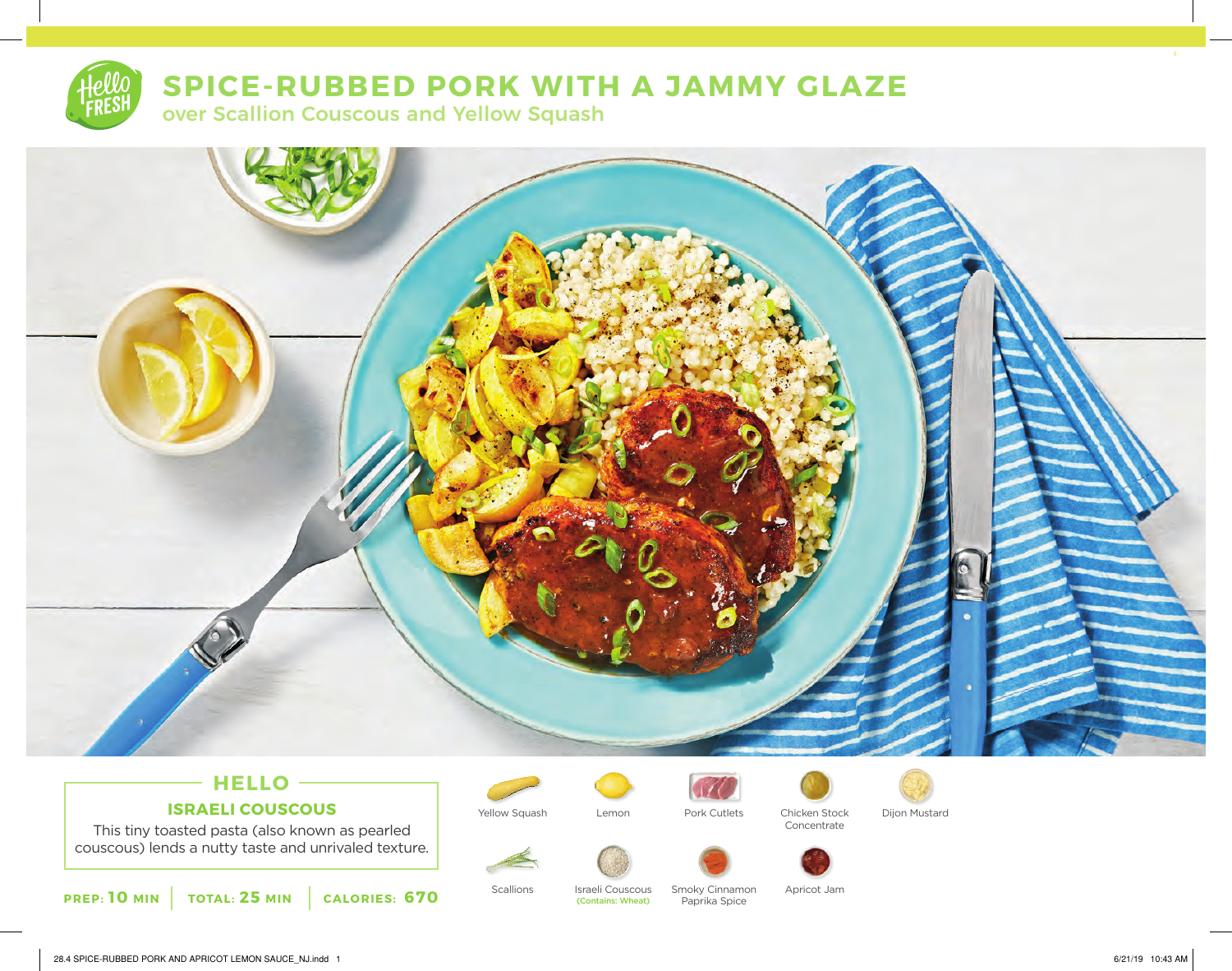

# **SPICE-RUBBED PORK WITH A JAMMY GLAZE**

over Scallion Couscous and Yellow Squash



# **HELLO ISRAELI COUSCOUS**

This tiny toasted pasta (also known as pearled couscous) lends a nutty taste and unrivaled texture.







Yellow Squash Lemon Pork Cutlets Chicken Stock Concentrate







Israeli Couscous (Contains: Wheat)



Paprika Spice

Scallions Israeli Couscous Smoky Cinnamon Apricot Jam